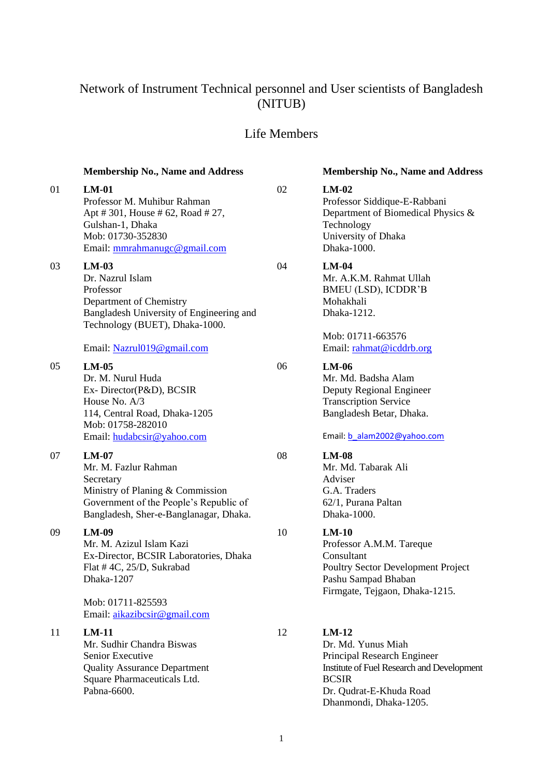# Network of Instrument Technical personnel and User scientists of Bangladesh (NITUB)

## Life Members

| 01 | $LM-01$<br>Professor M. Muhibur Rahman<br>Apt #301, House #62, Road #27,<br>Gulshan-1, Dhaka<br>Mob: 01730-352830<br>Email: mmrahmanugc@gmail.com                    | 02 | $LM-02$<br>Professor Siddique-E<br>Department of Biom<br>Technology<br>University of Dhaka<br>Dhaka-1000.                      |
|----|----------------------------------------------------------------------------------------------------------------------------------------------------------------------|----|--------------------------------------------------------------------------------------------------------------------------------|
| 03 | $LM-03$<br>Dr. Nazrul Islam<br>Professor<br>Department of Chemistry<br>Bangladesh University of Engineering and<br>Technology (BUET), Dhaka-1000.                    | 04 | $LM-04$<br>Mr. A.K.M. Rahmat<br>BMEU (LSD), ICDL<br>Mohakhali<br>Dhaka-1212.                                                   |
|    | Email: Nazrul019@gmail.com                                                                                                                                           |    | Mob: 01711-663576<br>Email: rahmat@icdd                                                                                        |
| 05 | $LM-05$<br>Dr. M. Nurul Huda<br>Ex-Director(P&D), BCSIR<br>House No. A/3<br>114, Central Road, Dhaka-1205<br>Mob: 01758-282010                                       | 06 | $LM-06$<br>Mr. Md. Badsha Ala<br>Deputy Regional Eng<br><b>Transcription Service</b><br>Bangladesh Betar, D.                   |
|    | Email: hudabcsir@yahoo.com                                                                                                                                           |    | Email: b alam2002@y                                                                                                            |
| 07 | $LM-07$<br>Mr. M. Fazlur Rahman<br>Secretary<br>Ministry of Planing & Commission<br>Government of the People's Republic of<br>Bangladesh, Sher-e-Banglanagar, Dhaka. | 08 | $LM-08$<br>Mr. Md. Tabarak Ali<br>Adviser<br>G.A. Traders<br>62/1, Purana Paltan<br>Dhaka-1000.                                |
| 09 | $LM-09$<br>Mr. M. Azizul Islam Kazi<br>Ex-Director, BCSIR Laboratories, Dhaka<br>Flat #4C, 25/D, Sukrabad<br>Dhaka-1207                                              | 10 | $LM-10$<br>Professor A.M.M. Ta<br>Consultant<br>Poultry Sector Devel<br>Pashu Sampad Bhaba<br>Firmgate, Tejgaon, D             |
|    | Mob: 01711-825593<br>Email: aikazibcsir@gmail.com                                                                                                                    |    |                                                                                                                                |
| 11 | $LM-11$<br>Mr. Sudhir Chandra Biswas<br>Senior Executive<br><b>Quality Assurance Department</b><br>Square Pharmaceuticals Ltd.<br>Pabna-6600.                        | 12 | $LM-12$<br>Dr. Md. Yunus Miah<br>Principal Research E<br><b>Institute of Fuel Resear</b><br><b>BCSIR</b><br>Dr. Qudrat-E-Khuda |

## **Membership No., Name and Address Membership No., Name and Address**

E-Rabbani  $n$ edical Physics  $\&$ 

Ullah  $DR'B$ 

Mob: 01711-663576 drb.org

Mr. Md. Badsha Alam ngineer Transcription Service )haka.

yahoo.com

Pareque Polopment Project pan  $Dhaka-1215.$ 

**Engineer**  $\mathop{\mathrm{rch}}\nolimits$  and Development a Road Dhanmondi, Dhaka-1205.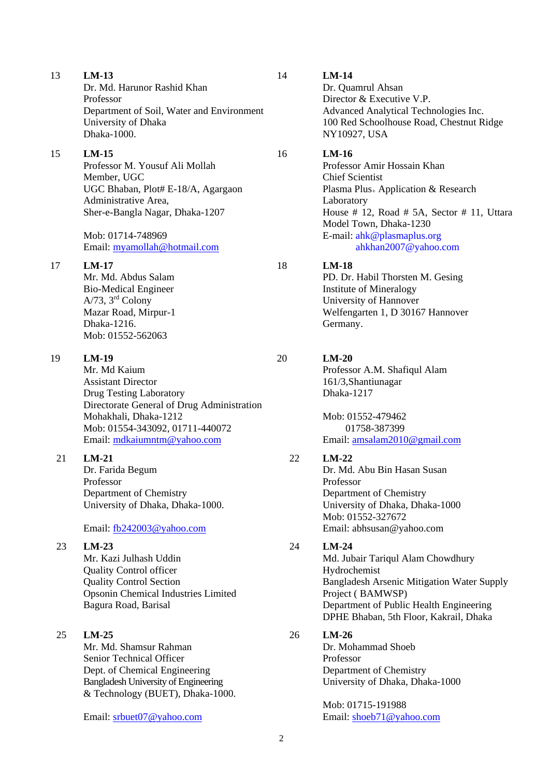Dr. Md. Harunor Rashid Khan Professor Department of Soil, Water and Environment University of Dhaka Dhaka-1000.

### 15 **LM-15**

Professor M. Yousuf Ali Mollah Member, UGC UGC Bhaban, Plot# E-18/A, Agargaon Administrative Area, Sher-e-Bangla Nagar, Dhaka-1207

Mob: 01714-748969 Email: [myamollah@hotmail.com](mailto:myamollah@hotmail.com)

### 17 **LM-17**

Mr. Md. Abdus Salam Bio-Medical Engineer A/73, 3rd Colony Mazar Road, Mirpur-1 Dhaka-1216. Mob: 01552-562063

## 19 **LM-19**

Mr. Md Kaium Assistant Director Drug Testing Laboratory Directorate General of Drug Administration Mohakhali, Dhaka-1212 Mob: 01554-343092, 01711-440072 Email: [mdkaiumntm@yahoo.com](mailto:mdkaiumntm@yahoo.com)

### 21 **LM-21**

Dr. Farida Begum Professor Department of Chemistry University of Dhaka, Dhaka-1000.

### Email: [fb242003@yahoo.com](mailto:fb242003@yahoo.com)

## 23 **LM-23** Mr. Kazi Julhash Uddin Quality Control officer Quality Control Section Opsonin Chemical Industries Limited Bagura Road, Barisal

25 **LM-25** Mr. Md. Shamsur Rahman Senior Technical Officer Dept. of Chemical Engineering Bangladesh University of Engineering & Technology (BUET), Dhaka-1000.

Email: [srbuet07@yahoo.com](mailto:srbuet07@yahoo.com)

## 14 **LM-14**

Dr. Quamrul Ahsan Director & Executive V.P. Advanced Analytical Technologies Inc. 100 Red Schoolhouse Road, Chestnut Ridge NY10927, USA

### 16 **LM-16**

Professor Amir Hossain Khan Chief Scientist Plasma Plus<sup>+</sup> Application & Research Laboratory House # 12, Road # 5A, Sector # 11, Uttara Model Town, Dhaka-1230 E-mail: [ahk@plasmaplus.org](mailto:ahk@plasmaplus.org)  [ahkhan2007@yahoo.com](mailto:ahkhan2007@yahoo.com)

## 18 **LM-18**

PD. Dr. Habil Thorsten M. Gesing Institute of Mineralogy University of Hannover Welfengarten 1, D 30167 Hannover Germany.

### 20 **LM-20**

Professor A.M. Shafiqul Alam 161/3,Shantiunagar Dhaka-1217

Mob: 01552-479462 01758-387399 Email: [amsalam2010@gmail.com](mailto:amsalam2010@gmail.com)

## 22 **LM-22**

Dr. Md. Abu Bin Hasan Susan Professor Department of Chemistry University of Dhaka, Dhaka-1000 Mob: 01552-327672 Email: [abhsusan@yahoo.com](mailto:abhsusan@yahoo.com)

### 24 **LM-24**

Md. Jubair Tariqul Alam Chowdhury Hydrochemist Bangladesh Arsenic Mitigation Water Supply Project ( BAMWSP) Department of Public Health Engineering DPHE Bhaban, 5th Floor, Kakrail, Dhaka

## 26 **LM-26**

Dr. Mohammad Shoeb Professor Department of Chemistry University of Dhaka, Dhaka-1000

Mob: 01715-191988 Email: [shoeb71@yahoo.com](mailto:shoeb71@yahoo.com)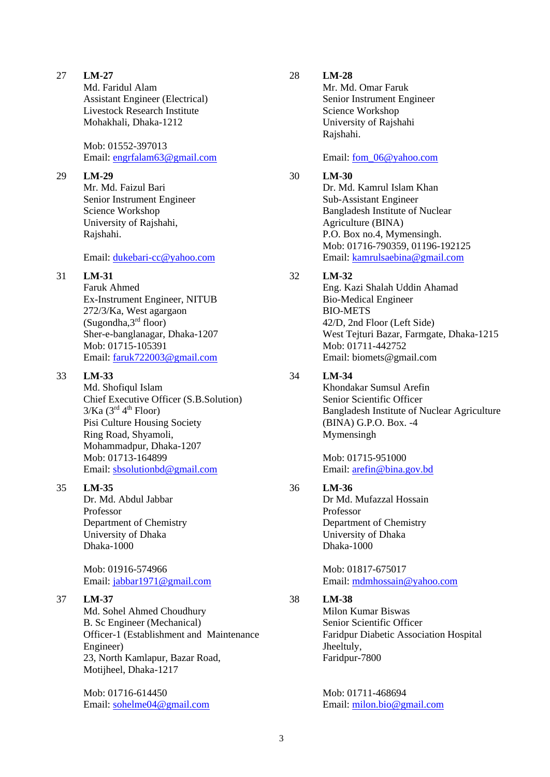Md. Faridul Alam Assistant Engineer (Electrical) Livestock Research Institute Mohakhali, Dhaka-1212

Mob: 01552-397013 Email: [engrfalam63@gmail.com](mailto:engrfalam63@gmail.com)

### 29 **LM-29**

Mr. Md. Faizul Bari Senior Instrument Engineer Science Workshop University of Rajshahi, Rajshahi.

### Email: [dukebari-cc@yahoo.com](mailto:dukebari-cc@yahoo.com)

## 31 **LM-31**

Faruk Ahmed Ex-Instrument Engineer, NITUB 272/3/Ka, West agargaon  $(Sugondha, 3<sup>rd</sup> floor)$ Sher-e-banglanagar, Dhaka-1207 Mob: 01715-105391 Email: [faruk722003@gmail.com](mailto:faruk722003@gmail.com)

## 33 **LM-33**

Md. Shofiqul Islam Chief Executive Officer (S.B.Solution)  $3/Ka$  ( $3<sup>rd</sup> 4<sup>th</sup>$  Floor) Pisi Culture Housing Society Ring Road, Shyamoli, Mohammadpur, Dhaka-1207 Mob: 01713-164899 Email: [sbsolutionbd@gmail.com](mailto:sbsolutionbd@gmail.com)

35 **LM-35**

Dr. Md. Abdul Jabbar Professor Department of Chemistry University of Dhaka Dhaka-1000

Mob: 01916-574966 Email: [jabbar1971@gmail.com](mailto:jabbar1971@gmail.com)

## 37 **LM-37**

Md. Sohel Ahmed Choudhury B. Sc Engineer (Mechanical) Officer-1 (Establishment and Maintenance Engineer) 23, North Kamlapur, Bazar Road, Motijheel, Dhaka-1217

Mob: 01716-614450 Email: [sohelme04@gmail.com](mailto:sohelme04@gmail.com)

## 28 **LM-28**

Mr. Md. Omar Faruk Senior Instrument Engineer Science Workshop University of Rajshahi Rajshahi.

Email: fom 06@yahoo.com

## 30 **LM-30**

Dr. Md. Kamrul Islam Khan Sub-Assistant Engineer Bangladesh Institute of Nuclear Agriculture (BINA) P.O. Box no.4, Mymensingh. Mob: 01716-790359, 01196-192125 Email: [kamrulsaebina@gmail.com](mailto:kamrulsaebina@gmail.com)

## 32 **LM-32**

Eng. Kazi Shalah Uddin Ahamad Bio-Medical Engineer BIO-METS 42/D, 2nd Floor (Left Side) West Tejturi Bazar, Farmgate, Dhaka-1215 Mob: 01711-442752 Email: [biomets@gmail.com](mailto:biomets@gmail.com) 

## 34 **LM-34**

Khondakar Sumsul Arefin Senior Scientific Officer Bangladesh Institute of Nuclear Agriculture (BINA) G.P.O. Box. -4 Mymensingh

Mob: 01715-951000 Email: [arefin@bina.gov.bd](mailto:arefin@bina.gov.bd)

## 36 **LM-36**

Dr Md. Mufazzal Hossain Professor Department of Chemistry University of Dhaka Dhaka-1000

Mob: 01817-675017 Email: [mdmhossain@yahoo.com](mailto:mdmhossain@yahoo.com)

## 38 **LM-38**

Milon Kumar Biswas Senior Scientific Officer Faridpur Diabetic Association Hospital Jheeltuly, Faridpur-7800

Mob: 01711-468694 Email: [milon.bio@gmail.com](mailto:milon.bio@gmail.com)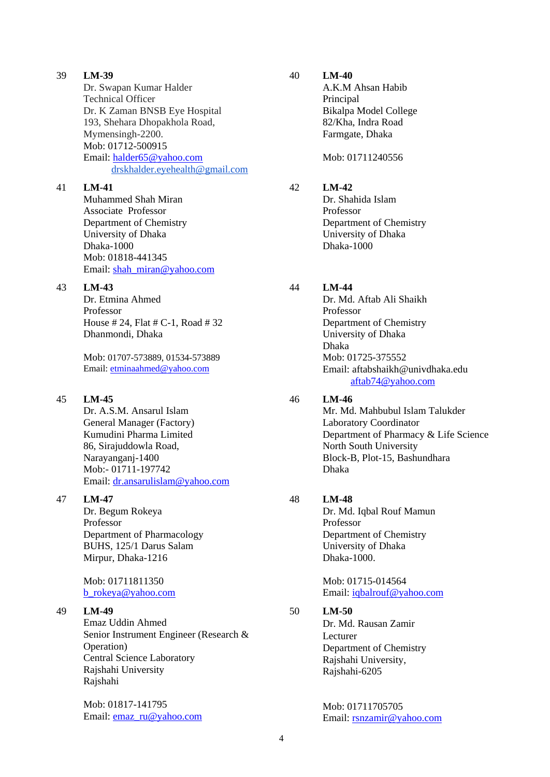Dr. Swapan Kumar Halder Technical Officer Dr. K Zaman BNSB Eye Hospital 193, Shehara Dhopakhola Road, Mymensingh-2200. Mob: 01712-500915 Email: [halder65@yahoo.com](mailto:halder65@yahoo.com) [drskhalder.eyehealth@gmail.com](mailto:drskhalder.eyehealth@gmail.com)

## 41 **LM-41**

Muhammed Shah Miran Associate Professor Department of Chemistry University of Dhaka Dhaka-1000 Mob: 01818-441345 Email: [shah\\_miran@yahoo.com](mailto:shah_miran@yahoo.com)

## 43 **LM-43**

Dr. Etmina Ahmed Professor House # 24, Flat # C-1, Road # 32 Dhanmondi, Dhaka

Mob: 01707-573889, 01534-573889 Email: [etminaahmed@yahoo.com](mailto:etminaahmed@yahoo.com)

## 45 **LM-45**

Dr. A.S.M. Ansarul Islam General Manager (Factory) Kumudini Pharma Limited 86, Sirajuddowla Road, Narayanganj-1400 Mob:- 01711-197742 Email: [dr.ansarulislam@yahoo.com](mailto:dr.ansarulislam@yahoo.com)

## 47 **LM-47**

Dr. Begum Rokeya Professor Department of Pharmacology BUHS, 125/1 Darus Salam Mirpur, Dhaka-1216

## Mob: 01711811350 [b\\_rokeya@yahoo.com](mailto:b_rokeya@yahoo.com)

## 49 **LM-49**

Emaz Uddin Ahmed Senior Instrument Engineer (Research & Operation) Central Science Laboratory Rajshahi University Rajshahi

Mob: 01817-141795 Email: [emaz\\_ru@yahoo.com](mailto:emaz_ru@yahoo.com)

### 40 **LM-40**

A.K.M Ahsan Habib **Principal** Bikalpa Model College 82/Kha, Indra Road Farmgate, Dhaka

Mob: 01711240556

## 42 **LM-42**

Dr. Shahida Islam Professor Department of Chemistry University of Dhaka Dhaka-1000

## 44 **LM-44**

Dr. Md. Aftab Ali Shaikh Professor Department of Chemistry University of Dhaka Dhaka Mob: 01725-375552 Email: [aftabshaikh@univdhaka.edu](mailto:aftabshaikh@univdhaka.edu)  [aftab74@yahoo.com](mailto:aftab74@yahoo.com)

## 46 **LM-46**

Mr. Md. Mahbubul Islam Talukder Laboratory Coordinator Department of Pharmacy & Life Science North South University Block-B, Plot-15, Bashundhara Dhaka

## 48 **LM-48**

Dr. Md. Iqbal Rouf Mamun Professor Department of Chemistry University of Dhaka Dhaka-1000.

Mob: 01715-014564 Email: [iqbalrouf@yahoo.com](mailto:iqbalrouf@yahoo.com)

## 50 **LM-50**

Dr. Md. Rausan Zamir Lecturer Department of Chemistry Rajshahi University, Rajshahi-6205

Mob: 01711705705 Email: [rsnzamir@yahoo.com](mailto:rsnzamir@yahoo.com)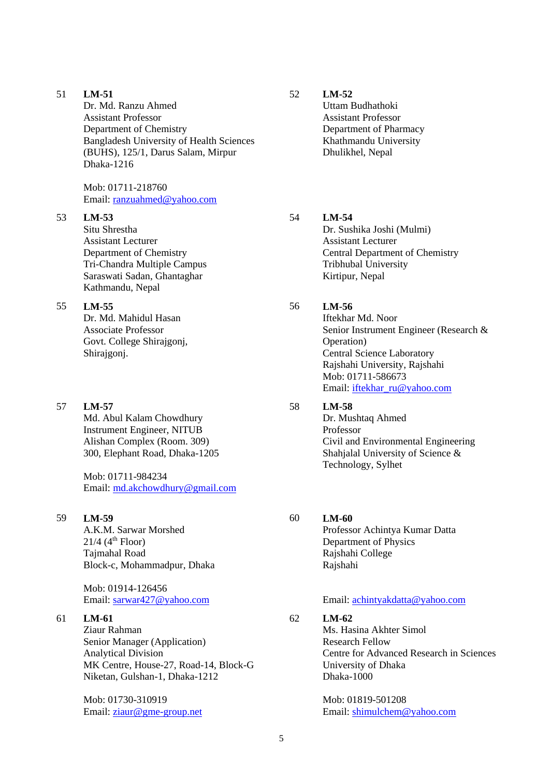Dr. Md. Ranzu Ahmed Assistant Professor Department of Chemistry Bangladesh University of Health Sciences (BUHS), 125/1, Darus Salam, Mirpur Dhaka-1216

Mob: 01711-218760 Email: [ranzuahmed@yahoo.com](mailto:ranzuahmed@yahoo.com)

### 53 **LM-53**

Situ Shrestha Assistant Lecturer Department of Chemistry Tri-Chandra Multiple Campus Saraswati Sadan, Ghantaghar Kathmandu, Nepal

### 55 **LM-55**

Dr. Md. Mahidul Hasan Associate Professor Govt. College Shirajgonj, Shirajgonj.

#### 57 **LM-57**

Md. Abul Kalam Chowdhury Instrument Engineer, NITUB Alishan Complex (Room. 309) 300, Elephant Road, Dhaka-1205

Mob: 01711-984234 Email: [md.akchowdhury@gmail.com](mailto:md.akchowdhury@gmail.com)

### 59 **LM-59**

A.K.M. Sarwar Morshed  $21/4$  (4<sup>th</sup> Floor) Tajmahal Road Block-c, Mohammadpur, Dhaka

Mob: 01914-126456 Email: [sarwar427@yahoo.com](mailto:sarwar427@yahoo.com)

### 61 **LM-61**

Ziaur Rahman Senior Manager (Application) Analytical Division MK Centre, House-27, Road-14, Block-G Niketan, Gulshan-1, Dhaka-1212

Mob: 01730-310919 Email: [ziaur@gme-group.net](mailto:ziaur@gme-group.net) 52 **LM-52**

Uttam Budhathoki Assistant Professor Department of Pharmacy Khathmandu University Dhulikhel, Nepal

## 54 **LM-54**

Dr. Sushika Joshi (Mulmi) Assistant Lecturer Central Department of Chemistry Tribhubal University Kirtipur, Nepal

### 56 **LM-56**

Iftekhar Md. Noor Senior Instrument Engineer (Research & Operation) Central Science Laboratory Rajshahi University, Rajshahi Mob: 01711-586673 Email: [iftekhar\\_ru@yahoo.com](mailto:iftekhar_ru@yahoo.com)

## 58 **LM-58**

Dr. Mushtaq Ahmed Professor Civil and Environmental Engineering Shahjalal University of Science & Technology, Sylhet

### 60 **LM-60**

Professor Achintya Kumar Datta Department of Physics Rajshahi College Rajshahi

### Email: [achintyakdatta@yahoo.com](mailto:achintyakdatta@yahoo.com)

### 62 **LM-62**

Ms. Hasina Akhter Simol Research Fellow Centre for Advanced Research in Sciences University of Dhaka Dhaka-1000

Mob: 01819-501208 Email: [shimulchem@yahoo.com](mailto:shimulchem@yahoo.com)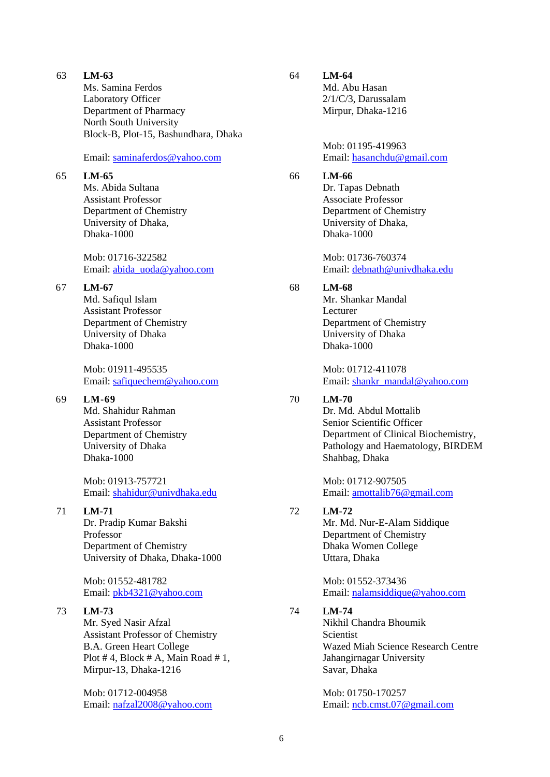Ms. Samina Ferdos Laboratory Officer Department of Pharmacy North South University Block-B, Plot-15, Bashundhara, Dhaka

### Email: [saminaferdos@yahoo.com](mailto:saminaferdos@yahoo.com)

#### 65 **LM-65**

Ms. Abida Sultana Assistant Professor Department of Chemistry University of Dhaka, Dhaka-1000

Mob: 01716-322582 Email: [abida\\_uoda@yahoo.com](mailto:abida_uoda@yahoo.com)

## 67 **LM-67**

Md. Safiqul Islam Assistant Professor Department of Chemistry University of Dhaka Dhaka-1000

Mob: 01911-495535 Email: [safiquechem@yahoo.com](mailto:safiquechem@yahoo.com)

### 69 **LM-69**

Md. Shahidur Rahman Assistant Professor Department of Chemistry University of Dhaka Dhaka-1000

Mob: 01913-757721 Email: [shahidur@univdhaka.edu](mailto:shahidur@univdhaka.edu)

## 71 **LM-71**

Dr. Pradip Kumar Bakshi Professor Department of Chemistry University of Dhaka, Dhaka-1000

Mob: 01552-481782 Email: [pkb4321@yahoo.com](mailto:pkb4321@yahoo.com)

### 73 **LM-73**

Mr. Syed Nasir Afzal Assistant Professor of Chemistry B.A. Green Heart College Plot  $# 4$ , Block  $# A$ , Main Road  $# 1$ , Mirpur-13, Dhaka-1216

Mob: 01712-004958 Email: [nafzal2008@yahoo.com](mailto:nafzal2008@yahoo.com)

### 64 **LM-64**

Md. Abu Hasan 2/1/C/3, Darussalam Mirpur, Dhaka-1216

Mob: 01195-419963 Email: [hasanchdu@gmail.com](mailto:hasanchdu@gmail.com)

### 66 **LM-66**

Dr. Tapas Debnath Associate Professor Department of Chemistry University of Dhaka, Dhaka-1000

Mob: 01736-760374 Email: [debnath@univdhaka.edu](mailto:debnath@univdhaka.edu)

## 68 **LM-68**

Mr. Shankar Mandal Lecturer Department of Chemistry University of Dhaka Dhaka-1000

Mob: 01712-411078 Email: [shankr\\_mandal@yahoo.com](mailto:shankr_mandal@yahoo.com)

## 70 **LM-70**

Dr. Md. Abdul Mottalib Senior Scientific Officer Department of Clinical Biochemistry, Pathology and Haematology, BIRDEM Shahbag, Dhaka

Mob: 01712-907505 Email: [amottalib76@gmail.com](mailto:amottalib76@gmail.com)

## 72 **LM-72**

Mr. Md. Nur-E-Alam Siddique Department of Chemistry Dhaka Women College Uttara, Dhaka

Mob: 01552-373436 Email: [nalamsiddique@yahoo.com](mailto:nalamsiddique@yahoo.com)

## 74 **LM-74**

Nikhil Chandra Bhoumik **Scientist** Wazed Miah Science Research Centre Jahangirnagar University Savar, Dhaka

Mob: 01750-170257 Email: [ncb.cmst.07@gmail.com](mailto:ncb.cmst.07@gmail.com)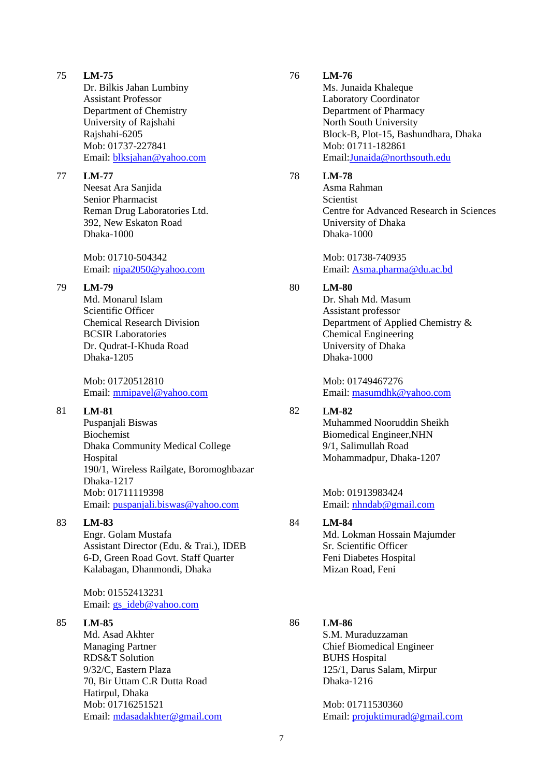Dr. Bilkis Jahan Lumbiny Assistant Professor Department of Chemistry University of Rajshahi Rajshahi-6205 Mob: 01737-227841 Email: [blksjahan@yahoo.com](mailto:blksjahan@yahoo.com)

### 77 **LM-77**

Neesat Ara Sanjida Senior Pharmacist Reman Drug Laboratories Ltd. 392, New Eskaton Road Dhaka-1000

Mob: 01710-504342 Email: [nipa2050@yahoo.com](mailto:nipa2050@yahoo.com)

## 79 **LM-79**

Md. Monarul Islam Scientific Officer Chemical Research Division BCSIR Laboratories Dr. Qudrat-I-Khuda Road Dhaka-1205

Mob: 01720512810 Email: [mmipavel@yahoo.com](mailto:mmipavel@yahoo.com)

## 81 **LM-81**

Puspanjali Biswas Biochemist Dhaka Community Medical College Hospital 190/1, Wireless Railgate, Boromoghbazar Dhaka-1217 Mob: 01711119398 Email: [puspanjali.biswas@yahoo.com](mailto:puspanjali.biswas@yahoo.com)

## 83 **LM-83**

Engr. Golam Mustafa Assistant Director (Edu. & Trai.), IDEB 6-D, Green Road Govt. Staff Quarter Kalabagan, Dhanmondi, Dhaka

Mob: 01552413231 Email: [gs\\_ideb@yahoo.com](mailto:gs_ideb@yahoo.com)

## 85 **LM-85**

Md. Asad Akhter Managing Partner RDS&T Solution 9/32/C, Eastern Plaza 70, Bir Uttam C.R Dutta Road Hatirpul, Dhaka Mob: 01716251521 Email: [mdasadakhter@gmail.com](mailto:mdasadakhter@gmail.com)

### 76 **LM-76**

Ms. Junaida Khaleque Laboratory Coordinator Department of Pharmacy North South University Block-B, Plot-15, Bashundhara, Dhaka Mob: 01711-182861 Email[:Junaida@northsouth.edu](mailto:Junaida@northsouth.edu)

### 78 **LM-78**

Asma Rahman **Scientist** Centre for Advanced Research in Sciences University of Dhaka Dhaka-1000

Mob: 01738-740935 Email: [Asma.pharma@du.ac.bd](mailto:Asma.pharma@du.ac.bd)

## 80 **LM-80**

Dr. Shah Md. Masum Assistant professor Department of Applied Chemistry & Chemical Engineering University of Dhaka Dhaka-1000

Mob: 01749467276 Email: [masumdhk@yahoo.com](mailto:masumdhk@yahoo.com)

## 82 **LM-82**

Muhammed Nooruddin Sheikh Biomedical Engineer,NHN 9/1, Salimullah Road Mohammadpur, Dhaka-1207

Mob: 01913983424 Email: [nhndab@gmail.com](mailto:nhndab@gmail.com)

## 84 **LM-84**

Md. Lokman Hossain Majumder Sr. Scientific Officer Feni Diabetes Hospital Mizan Road, Feni

## 86 **LM-86**

S.M. Muraduzzaman Chief Biomedical Engineer BUHS Hospital 125/1, Darus Salam, Mirpur Dhaka-1216

Mob: 01711530360 Email: [projuktimurad@gmail.com](mailto:projuktimurad@gmail.com)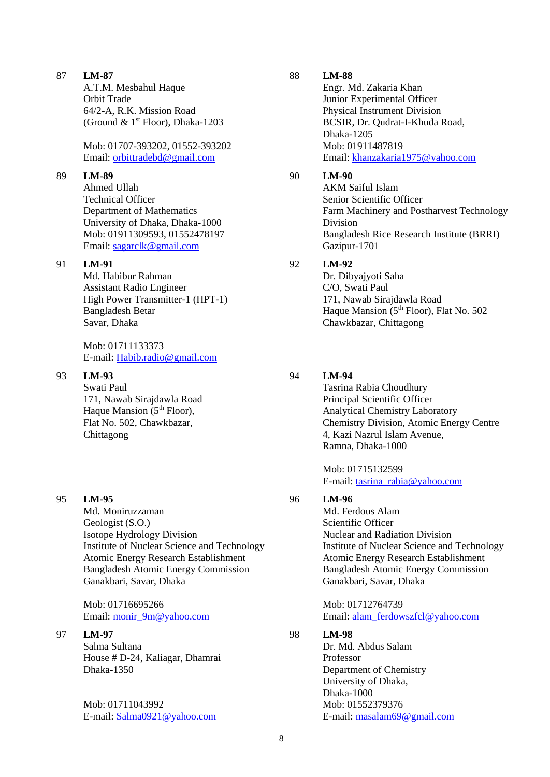A.T.M. Mesbahul Haque Orbit Trade 64/2-A, R.K. Mission Road (Ground &  $1<sup>st</sup>$  Floor), Dhaka-1203

Mob: 01707-393202, 01552-393202 Email: [orbittradebd@gmail.com](mailto:orbittradebd@gmail.com)

### 89 **LM-89**

Ahmed Ullah Technical Officer Department of Mathematics University of Dhaka, Dhaka-1000 Mob: 01911309593, 01552478197 Email: [sagarclk@gmail.com](mailto:sagarclk@gmail.com)

## 91 **LM-91**

Md. Habibur Rahman Assistant Radio Engineer High Power Transmitter-1 (HPT-1) Bangladesh Betar Savar, Dhaka

Mob: 01711133373 E-mail: [Habib.radio@gmail.com](mailto:Habib.radio@gmail.com)

### 93 **LM-93**

Swati Paul 171, Nawab Sirajdawla Road Haque Mansion  $(5<sup>th</sup>$  Floor), Flat No. 502, Chawkbazar, Chittagong

#### 95 **LM-95**

Md. Moniruzzaman Geologist (S.O.) Isotope Hydrology Division Institute of Nuclear Science and Technology Atomic Energy Research Establishment Bangladesh Atomic Energy Commission Ganakbari, Savar, Dhaka

Mob: 01716695266 Email: [monir\\_9m@yahoo.com](mailto:monir_9m@yahoo.com)

97 **LM-97**

Salma Sultana House # D-24, Kaliagar, Dhamrai Dhaka-1350

Mob: 01711043992 E-mail: [Salma0921@yahoo.com](mailto:Salma0921@yahoo.com)

### 88 **LM-88**

Engr. Md. Zakaria Khan Junior Experimental Officer Physical Instrument Division BCSIR, Dr. Qudrat-I-Khuda Road, Dhaka-1205 Mob: 01911487819 Email: [khanzakaria1975@yahoo.com](mailto:khanzakaria1975@yahoo.com)

### 90 **LM-90**

AKM Saiful Islam Senior Scientific Officer Farm Machinery and Postharvest Technology Division Bangladesh Rice Research Institute (BRRI) Gazipur-1701

## 92 **LM-92**

Dr. Dibyajyoti Saha C/O, Swati Paul 171, Nawab Sirajdawla Road Haque Mansion  $(5<sup>th</sup>$  Floor), Flat No. 502 Chawkbazar, Chittagong

### 94 **LM-94**

Tasrina Rabia Choudhury Principal Scientific Officer Analytical Chemistry Laboratory Chemistry Division, Atomic Energy Centre 4, Kazi Nazrul Islam Avenue, Ramna, Dhaka-1000

Mob: 01715132599 E-mail: [tasrina\\_rabia@yahoo.com](mailto:tasrina_rabia@yahoo.com)

### 96 **LM-96**

Md. Ferdous Alam Scientific Officer Nuclear and Radiation Division Institute of Nuclear Science and Technology Atomic Energy Research Establishment Bangladesh Atomic Energy Commission Ganakbari, Savar, Dhaka

Mob: 01712764739 Email: [alam\\_ferdowszfcl@yahoo.com](mailto:alam_ferdowszfcl@yahoo.com)

## 98 **LM-98**

Dr. Md. Abdus Salam Professor Department of Chemistry University of Dhaka, Dhaka-1000 Mob: 01552379376 E-mail: [masalam69@gmail.com](mailto:masalam69@gmail.com)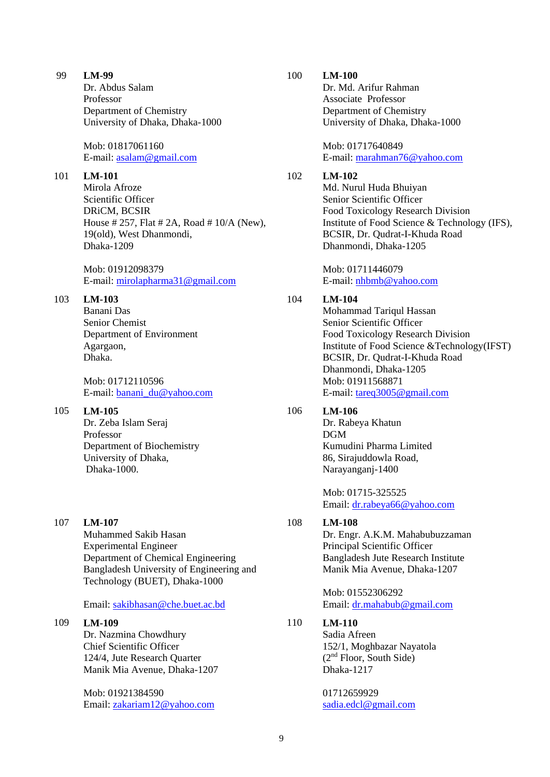Dr. Abdus Salam Professor Department of Chemistry University of Dhaka, Dhaka-1000

Mob: 01817061160 E-mail: [asalam@gmail.com](mailto:asalam@gmail.com) 

## 101 **LM-101**

Mirola Afroze Scientific Officer DRiCM, BCSIR House # 257, Flat # 2A, Road # 10/A (New), 19(old), West Dhanmondi, Dhaka-1209

Mob: 01912098379 E-mail: [mirolapharma31@gmail.com](mailto:mirolapharma31@gmail.com)

## 103 **LM-103**

Banani Das Senior Chemist Department of Environment Agargaon, Dhaka.

Mob: 01712110596 E-mail: [banani\\_du@yahoo.com](mailto:banani_du@yahoo.com)

## 105 **LM-105**

Dr. Zeba Islam Seraj Professor Department of Biochemistry University of Dhaka, Dhaka-1000.

107 **LM-107**

Muhammed Sakib Hasan Experimental Engineer Department of Chemical Engineering Bangladesh University of Engineering and Technology (BUET), Dhaka-1000

Email: [sakibhasan@che.buet.ac.bd](mailto:sakibhasan@che.buet.ac.bd)

## 109 **LM-109**

Dr. Nazmina Chowdhury Chief Scientific Officer 124/4, Jute Research Quarter Manik Mia Avenue, Dhaka-1207

Mob: 01921384590 Email: [zakariam12@yahoo.com](mailto:zakariam12@yahoo.com)

### 100 **LM-100**

Dr. Md. Arifur Rahman Associate Professor Department of Chemistry University of Dhaka, Dhaka-1000

Mob: 01717640849 E-mail: [marahman76@yahoo.com](mailto:marahman76@yahoo.com)

## 102 **LM-102**

Md. Nurul Huda Bhuiyan Senior Scientific Officer Food Toxicology Research Division Institute of Food Science & Technology (IFS), BCSIR, Dr. Qudrat-I-Khuda Road Dhanmondi, Dhaka-1205

Mob: 01711446079 E-mail: [nhbmb@yahoo.com](mailto:nhbmb@yahoo.com)

## 104 **LM-104**

Mohammad Tariqul Hassan Senior Scientific Officer Food Toxicology Research Division Institute of Food Science &Technology(IFST) BCSIR, Dr. Qudrat-I-Khuda Road Dhanmondi, Dhaka-1205 Mob: 01911568871 E-mail: [tareq3005@gmail.com](mailto:tareq3005@gmail.com)

## 106 **LM-106**

Dr. Rabeya Khatun DGM Kumudini Pharma Limited 86, Sirajuddowla Road, Narayanganj-1400

Mob: 01715-325525 Email: [dr.rabeya66@yahoo.com](mailto:dr.rabeya66@yahoo.com)

## 108 **LM-108**

Dr. Engr. A.K.M. Mahabubuzzaman Principal Scientific Officer Bangladesh Jute Research Institute Manik Mia Avenue, Dhaka-1207

Mob: 01552306292 Email: [dr.mahabub@gmail.com](mailto:dr.mahabub@gmail.com)

## 110 **LM-110**

Sadia Afreen 152/1, Moghbazar Nayatola (2nd Floor, South Side) Dhaka-1217

01712659929 [sadia.edcl@gmail.com](mailto:sadia.edcl@gmail.com)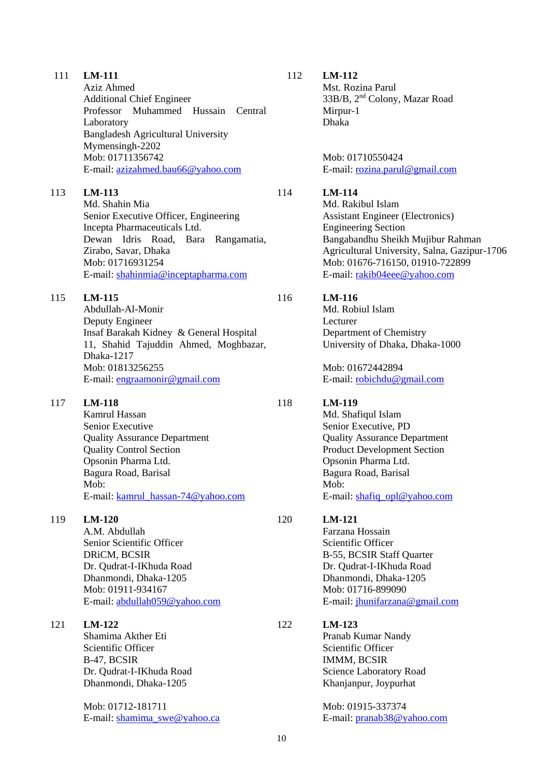|     | Aziz Ahmed<br><b>Additional Chief Engineer</b><br>Professor Muhammed Hussain<br>Central<br>Laboratory<br><b>Bangladesh Agricultural University</b><br>Mymensingh-2202<br>Mob: 01711356742<br>E-mail: azizahmed.bau66@yahoo.com |     | Mst. Rozina Parul<br>$33B/B$ , $2nd$ Colony, M<br>Mirpur-1<br>Dhaka<br>Mob: 01710550424<br>E-mail: rozina.parul@                                                                                 |
|-----|--------------------------------------------------------------------------------------------------------------------------------------------------------------------------------------------------------------------------------|-----|--------------------------------------------------------------------------------------------------------------------------------------------------------------------------------------------------|
| 113 | LM-113<br>Md. Shahin Mia<br>Senior Executive Officer, Engineering<br>Incepta Pharmaceuticals Ltd.<br>Dewan Idris Road, Bara<br>Rangamatia,<br>Zirabo, Savar, Dhaka<br>Mob: 01716931254<br>E-mail: shahinmia@inceptapharma.com  | 114 | LM-114<br>Md. Rakibul Islam<br><b>Assistant Engineer (El</b><br><b>Engineering Section</b><br>Bangabandhu Sheikh<br><b>Agricultural Universit</b><br>Mob: 01676-716150,<br>E-mail: rakib04eee@y  |
| 115 | LM-115<br>Abdullah-Al-Monir<br>Deputy Engineer<br>Insaf Barakah Kidney & General Hospital<br>11, Shahid Tajuddin Ahmed, Moghbazar,<br>Dhaka-1217<br>Mob: 01813256255<br>E-mail: engraamonir@gmail.com                          | 116 | LM-116<br>Md. Robiul Islam<br>Lecturer<br>Department of Chemis<br>University of Dhaka, l<br>Mob: 01672442894<br>E-mail: robichdu@gm                                                              |
| 117 | <b>LM-118</b><br>Kamrul Hassan<br>Senior Executive<br><b>Quality Assurance Department</b><br><b>Quality Control Section</b><br>Opsonin Pharma Ltd.<br>Bagura Road, Barisal<br>Mob:<br>E-mail: kamrul_hassan-74@yahoo.com       | 118 | LM-119<br>Md. Shafiqul Islam<br>Senior Executive, PD<br><b>Quality Assurance De</b><br><b>Product Development</b><br>Opsonin Pharma Ltd.<br>Bagura Road, Barisal<br>Mob:<br>E-mail: shafiq_opl@y |
| 119 | $LM-120$<br>A.M. Abdullah<br>Senior Scientific Officer<br>DRiCM, BCSIR<br>Dr. Qudrat-I-IKhuda Road<br>Dhanmondi, Dhaka-1205<br>Mob: 01911-934167<br>E-mail: abdullah059@yahoo.com                                              | 120 | LM-121<br>Farzana Hossain<br>Scientific Officer<br>B-55, BCSIR Staff Qu<br>Dr. Qudrat-I-IKhuda I<br>Dhanmondi, Dhaka-12<br>Mob: 01716-899090<br>E-mail: jhunifarzana@                            |

111 **LM-111**

Shamima Akther Eti Scientific Officer B-47, BCSIR Dr. Qudrat-I-IKhuda Road Dhanmondi, Dhaka-1205

Mob: 01712-181711 E-mail: [shamima\\_swe@yahoo.ca](mailto:shamima_swe@yahoo.ca) Mst. Rozina Parul azar Road

gmail.com

lectronics) Mujibur Rahman ty, Salna, Gazipur-1706 01910-722899 yahoo.com

stry Dhaka-1000

hail.com

epartment Section ahoo.com

arter Road 205 <u>e</u> gmail.com

#### 122 **LM-123**

Pranab Kumar Nandy Scientific Officer IMMM, BCSIR Science Laboratory Road Khanjanpur, Joypurhat

Mob: 01915-337374 E-mail: [pranab38@yahoo.com](mailto:pranab38@yahoo.com)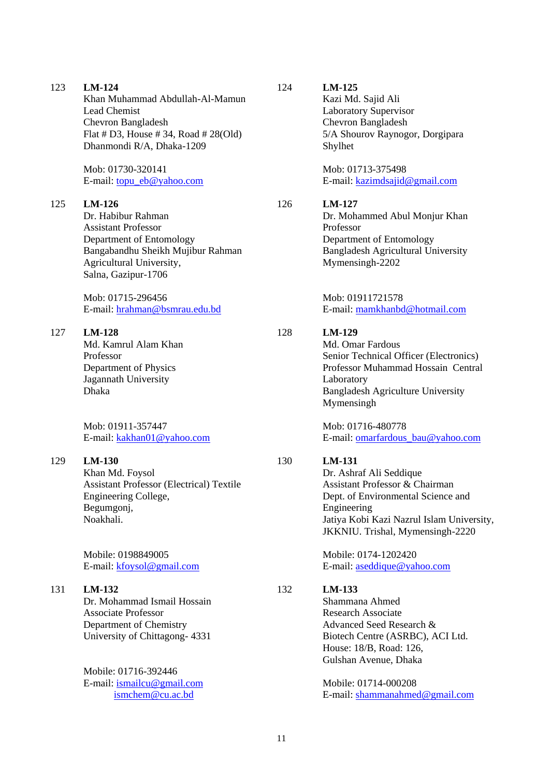123 **LM-124** Khan Muhammad Abdullah-Al-Mamun Lead Chemist Chevron Bangladesh Flat # D3, House # 34, Road # 28(Old) Dhanmondi R/A, Dhaka-1209

> Mob: 01730-320141 E-mail: [topu\\_eb@yahoo.com](mailto:topu_eb@yahoo.com)

#### 125 **LM-126**

Dr. Habibur Rahman Assistant Professor Department of Entomology Bangabandhu Sheikh Mujibur Rahman Agricultural University, Salna, Gazipur-1706

Mob: 01715-296456 E-mail: [hrahman@bsmrau.edu.bd](mailto:hrahman@bsmrau.edu.bd)

#### 127 **LM-128**

Md. Kamrul Alam Khan Professor Department of Physics Jagannath University Dhaka

Mob: 01911-357447 E-mail: [kakhan01@yahoo.com](mailto:kakhan01@yahoo.com)

#### 129 **LM-130**

Khan Md. Foysol Assistant Professor (Electrical) Textile Engineering College, Begumgonj, Noakhali.

Mobile: 0198849005 E-mail: [kfoysol@gmail.com](mailto:kfoysol@gmail.com)

#### 131 **LM-132**

Dr. Mohammad Ismail Hossain Associate Professor Department of Chemistry University of Chittagong- 4331

Mobile: 01716-392446 E-mail: [ismailcu@gmail.com](mailto:ismailcu@gmail.com) [ismchem@cu.ac.bd](mailto:ismchem@cu.ac.bd)

124

126

128

130

132

## **LM-125**

Kazi Md. Sajid Ali Laboratory Supervisor Chevron Bangladesh 5/A Shourov Raynogor, Dorgipara Shylhet

Mob: 01713-375498 E-mail: [kazimdsajid@gmail.com](mailto:kazimdsajid@gmail.com)

#### **LM-127**

Dr. Mohammed Abul Monjur Khan Professor Department of Entomology Bangladesh Agricultural University Mymensingh-2202

Mob: 01911721578 E-mail: [mamkhanbd@hotmail.com](mailto:mamkhanbd@hotmail.com)

### **LM-129**

Md. Omar Fardous Senior Technical Officer (Electronics) Professor Muhammad Hossain Central Laboratory Bangladesh Agriculture University Mymensingh

Mob: 01716-480778 E-mail: [omarfardous\\_bau@yahoo.com](mailto:omarfardous_bau@yahoo.com)

### **LM-131**

Dr. Ashraf Ali Seddique Assistant Professor & Chairman Dept. of Environmental Science and Engineering Jatiya Kobi Kazi Nazrul Islam University, JKKNIU. Trishal, Mymensingh-2220

Mobile: 0174-1202420 E-mail: [aseddique@yahoo.com](mailto:aseddique@yahoo.com)

## **LM-133**

Shammana Ahmed Research Associate Advanced Seed Research & Biotech Centre (ASRBC), ACI Ltd. House: 18/B, Road: 126, Gulshan Avenue, Dhaka

Mobile: 01714-000208 E-mail: [shammanahmed@gmail.com](mailto:shammanahmed@gmail.com)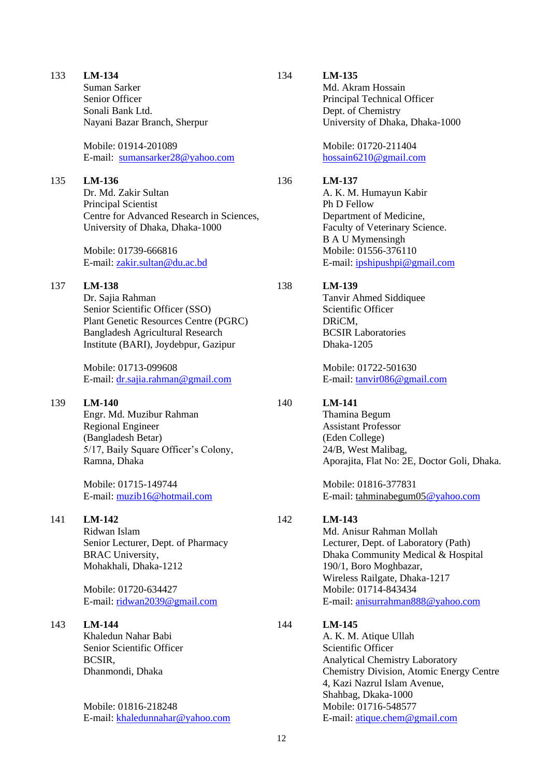Suman Sarker Senior Officer Sonali Bank Ltd. Nayani Bazar Branch, Sherpur

Mobile: 01914-201089 E-mail: [sumansarker28@yahoo.com](mailto:sumansarker28@yahoo.com)

#### 135 **LM-136**

Dr. Md. Zakir Sultan Principal Scientist Centre for Advanced Research in Sciences, University of Dhaka, Dhaka-1000

Mobile: 01739-666816 E-mail: [zakir.sultan@du.ac.bd](mailto:zakir.sultan@du.ac.bd)

#### 137 **LM-138**

Dr. Sajia Rahman Senior Scientific Officer (SSO) Plant Genetic Resources Centre (PGRC) Bangladesh Agricultural Research Institute (BARI), Joydebpur, Gazipur

Mobile: 01713-099608 E-mail: [dr.sajia.rahman@gmail.com](mailto:dr.sajia.rahman@gmail.com)

#### 139 **LM-140**

Engr. Md. Muzibur Rahman Regional Engineer (Bangladesh Betar) 5/17, Baily Square Officer's Colony, Ramna, Dhaka

Mobile: 01715-149744 E-mail: [muzib16@hotmail.com](mailto:muzib16@hotmail.com)

#### 141 **LM-142**

Ridwan Islam Senior Lecturer, Dept. of Pharmacy BRAC University, Mohakhali, Dhaka-1212

Mobile: 01720-634427 E-mail: [ridwan2039@gmail.com](mailto:ridwan2039@gmail.com)

#### 143 **LM-144**

Khaledun Nahar Babi Senior Scientific Officer BCSIR, Dhanmondi, Dhaka

Mobile: 01816-218248 E-mail: [khaledunnahar@yahoo.com](mailto:khaledunnahar@yahoo.com)

### **LM-135**

134

Md. Akram Hossain Principal Technical Officer Dept. of Chemistry University of Dhaka, Dhaka-1000

Mobile: 01720-211404 [hossain6210@gmail.com](mailto:hossain6210@gmail.com)

#### 136 **LM-137**

A. K. M. Humayun Kabir Ph D Fellow Department of Medicine, Faculty of Veterinary Science. B A U Mymensingh Mobile: 01556-376110 E-mail: [ipshipushpi@gmail.com](mailto:ipshipushpi@gmail.com)

#### 138 **LM-139**

Tanvir Ahmed Siddiquee Scientific Officer DRiCM, BCSIR Laboratories Dhaka-1205

Mobile: 01722-501630 E-mail: [tanvir086@gmail.com](mailto:tanvir086@gmail.com)

#### 140 **LM-141**

Thamina Begum Assistant Professor (Eden College) 24/B, West Malibag, Aporajita, Flat No: 2E, Doctor Goli, Dhaka.

Mobile: 01816-377831 E-mail: tahminabegum0[5@yahoo.com](mailto:muzib16@hotmail.com)

#### 142 **LM-143**

Md. Anisur Rahman Mollah Lecturer, Dept. of Laboratory (Path) Dhaka Community Medical & Hospital 190/1, Boro Moghbazar, Wireless Railgate, Dhaka-1217 Mobile: 01714-843434 E-mail: [anisurrahman888@yahoo.com](mailto:anisurrahman888@yahoo.com)

#### 144 **LM-145**

A. K. M. Atique Ullah Scientific Officer Analytical Chemistry Laboratory Chemistry Division, Atomic Energy Centre 4, Kazi Nazrul Islam Avenue, Shahbag, Dkaka-1000 Mobile: 01716-548577 E-mail: [atique.chem@gmail.com](mailto:atique.chem@gmail.com)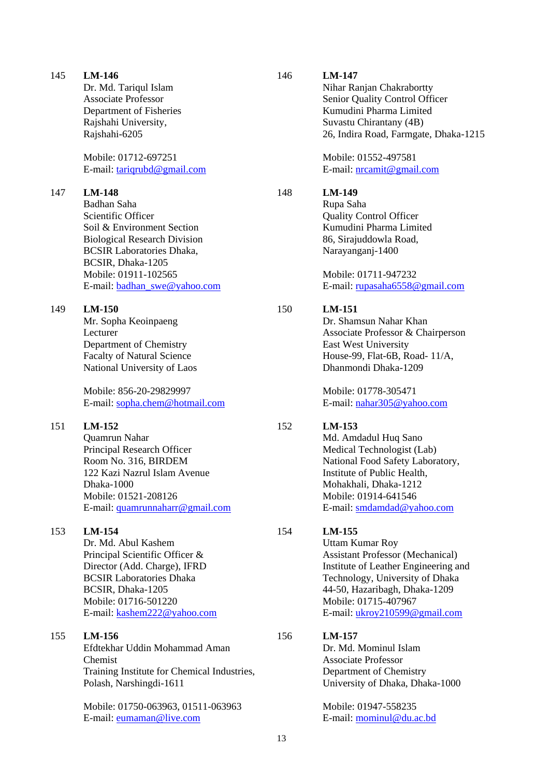|     | Dr. Md. Tariqul Islam<br><b>Associate Professor</b><br>Department of Fisheries<br>Rajshahi University,<br>Rajshahi-6205<br>Mobile: 01712-697251<br>E-mail: tariqrubd@gmail.com                                                           |     | Nihar Ranjan Chakrabortty<br>Senior Quality Control Officer<br>Kumudini Pharma Limited<br>Suvastu Chirantany (4B)<br>26, Indira Road, Farmgate, Dhaka-1215<br>Mobile: 01552-497581<br>E-mail: nrcamit@gmail.com                                  |
|-----|------------------------------------------------------------------------------------------------------------------------------------------------------------------------------------------------------------------------------------------|-----|--------------------------------------------------------------------------------------------------------------------------------------------------------------------------------------------------------------------------------------------------|
| 147 | <b>LM-148</b><br>Badhan Saha<br>Scientific Officer<br>Soil & Environment Section<br><b>Biological Research Division</b><br><b>BCSIR Laboratories Dhaka,</b><br>BCSIR, Dhaka-1205<br>Mobile: 01911-102565<br>E-mail: badhan_swe@yahoo.com | 148 | LM-149<br>Rupa Saha<br><b>Quality Control Officer</b><br>Kumudini Pharma Limited<br>86, Sirajuddowla Road,<br>Narayanganj-1400<br>Mobile: 01711-947232<br>E-mail: rupasaha6558@gmail.com                                                         |
| 149 | $LM-150$<br>Mr. Sopha Keoinpaeng<br>Lecturer<br>Department of Chemistry<br><b>Facalty of Natural Science</b><br>National University of Laos<br>Mobile: 856-20-29829997<br>E-mail: sopha.chem@hotmail.com                                 | 150 | LM-151<br>Dr. Shamsun Nahar Khan<br>Associate Professor & Chairperson<br>East West University<br>House-99, Flat-6B, Road- 11/A,<br>Dhanmondi Dhaka-1209<br>Mobile: 01778-305471<br>E-mail: nahar305@yahoo.com                                    |
| 151 | LM-152<br>Quamrun Nahar<br>Principal Research Officer<br>Room No. 316, BIRDEM<br>122 Kazi Nazrul Islam Avenue<br>Dhaka-1000<br>Mobile: 01521-208126<br>E-mail: quamrunnaharr@gmail.com                                                   | 152 | LM-153<br>Md. Amdadul Huq Sano<br>Medical Technologist (Lab)<br>National Food Safety Laboratory,<br>Institute of Public Health,<br>Mohakhali, Dhaka-1212<br>Mobile: 01914-641546<br>E-mail: smdamdad@yahoo.com                                   |
| 153 | LM-154<br>Dr. Md. Abul Kashem<br>Principal Scientific Officer &<br>Director (Add. Charge), IFRD<br><b>BCSIR Laboratories Dhaka</b><br>BCSIR, Dhaka-1205<br>Mobile: 01716-501220<br>E-mail: kashem222@yahoo.com                           | 154 | LM-155<br><b>Uttam Kumar Roy</b><br><b>Assistant Professor (Mechanical)</b><br>Institute of Leather Engineering and<br>Technology, University of Dhaka<br>44-50, Hazaribagh, Dhaka-1209<br>Mobile: 01715-407967<br>E-mail: ukroy210599@gmail.com |
| 155 | LM-156<br>Efdtekhar Uddin Mohammad Aman<br>Chemist<br>Training Institute for Chemical Industries,<br>Polash, Narshingdi-1611<br>Mobile: 01750-063963, 01511-063963<br>E-mail: eumaman@live.com                                           | 156 | LM-157<br>Dr. Md. Mominul Islam<br><b>Associate Professor</b><br>Department of Chemistry<br>University of Dhaka, Dhaka-1000<br>Mobile: 01947-558235<br>E-mail: mominul@du.ac.bd                                                                  |

146

**LM-147**

145

**LM-146**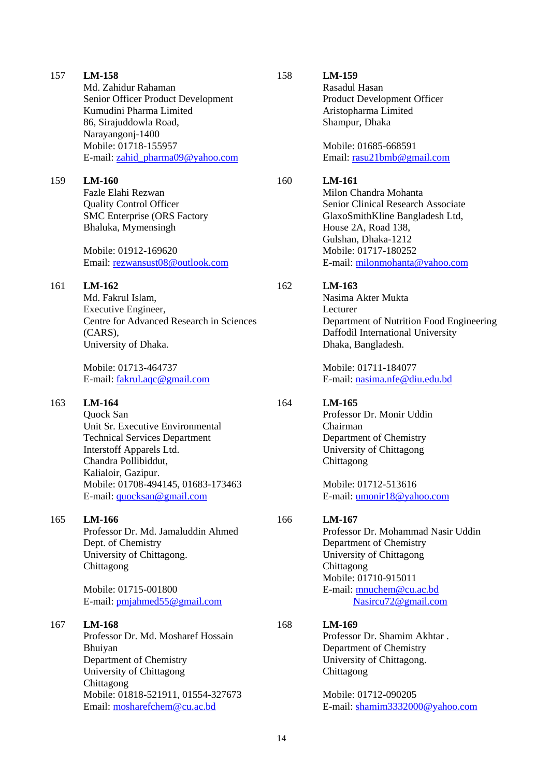|     | Senior Officer Product Development<br>Kumudini Pharma Limited<br>86, Sirajuddowla Road,<br>Narayangonj-1400<br>Mobile: 01718-155957                                                                                                            |     | Product De<br>Aristophari<br>Shampur, I                                                                       |
|-----|------------------------------------------------------------------------------------------------------------------------------------------------------------------------------------------------------------------------------------------------|-----|---------------------------------------------------------------------------------------------------------------|
|     | E-mail: zahid_pharma09@yahoo.com                                                                                                                                                                                                               |     | Mobile: 01<br>Email: rasu                                                                                     |
| 159 | $LM-160$<br>Fazle Elahi Rezwan<br><b>Quality Control Officer</b><br><b>SMC</b> Enterprise (ORS Factory<br>Bhaluka, Mymensingh<br>Mobile: 01912-169620<br>Email: rezwansust08@outlook.com                                                       | 160 | LM-161<br>Milon Cha<br>Senior Clir<br>GlaxoSmit<br>House 2A,<br>Gulshan, D<br>Mobile: 01<br>E-mail: mi        |
| 161 | LM-162<br>Md. Fakrul Islam,<br>Executive Engineer,<br>Centre for Advanced Research in Sciences<br>(CARS),<br>University of Dhaka.<br>Mobile: 01713-464737<br>E-mail: fakrul.aqc@gmail.com                                                      | 162 | LM-163<br>Nasima Ak<br>Lecturer<br>Departmen<br>Daffodil In<br>Dhaka, Bai<br>Mobile: 01<br>E-mail: nas        |
| 163 | LM-164<br>Quock San<br>Unit Sr. Executive Environmental<br><b>Technical Services Department</b><br>Interstoff Apparels Ltd.<br>Chandra Pollibiddut,<br>Kalialoir, Gazipur.<br>Mobile: 01708-494145, 01683-173463<br>E-mail: quocksan@gmail.com | 164 | <b>LM-165</b><br>Professor I<br>Chairman<br>Departmen<br>University<br>Chittagong<br>Mobile: 01<br>E-mail: um |
| 165 | LM-166<br>Professor Dr. Md. Jamaluddin Ahmed<br>Dept. of Chemistry<br>University of Chittagong.<br>Chittagong<br>Mobile: 01715-001800<br>E-mail: pmjahmed55@gmail.com                                                                          | 166 | LM-167<br>Professor I<br>Departmen<br>University<br>Chittagong<br>Mobile: 01<br>E-mail: mn<br><b>Nas</b>      |
| 167 | <b>LM-168</b><br>Professor Dr. Md. Mosharef Hossain<br>Bhuiyan<br>Department of Chemistry<br>University of Chittagong<br>Chittagong<br>Mobile: 01818-521911, 01554-327673                                                                      | 168 | LM-169<br>Professor I<br>Departmen<br>University<br>Chittagong<br>Mobile: 01                                  |
|     | Email: mosharefchem@cu.ac.bd                                                                                                                                                                                                                   |     | E-mail: sha                                                                                                   |

157

**LM-158**

Md. Zahidur Rahaman

158

**LM-159**

Rasadul Hasan evelopment Officer rma Limited Dhaka

1685-668591 u21bmb@gmail.com

andra Mohanta nical Research Associate thKline Bangladesh Ltd, Road 138,  $Dhaka-1212$ Mobile: 01717-180252 ilonmohanta@yahoo.com

kter Mukta nt of Nutrition Food Engineering nternational University ungladesh.

Mobile: 01711-184077 E-mail: [nasima.nfe@diu.edu.bd](mailto:nasima.nfe@diu.edu.bd)

Dr. Monir Uddin nt of Chemistry of Chittagong Chittagong

1712-513616 monir18@yahoo.com

Dr. Mohammad Nasir Uddin nt of Chemistry of Chittagong Chittagong Mobile: 01710-915011 nuchem@cu.ac.bd  $isircu72@gmail.com$ 

Dr. Shamim Akhtar . nt of Chemistry of Chittagong.

1712-090205 mail: [shamim3332000@yahoo.com](mailto:shamim3332000@yahoo.com)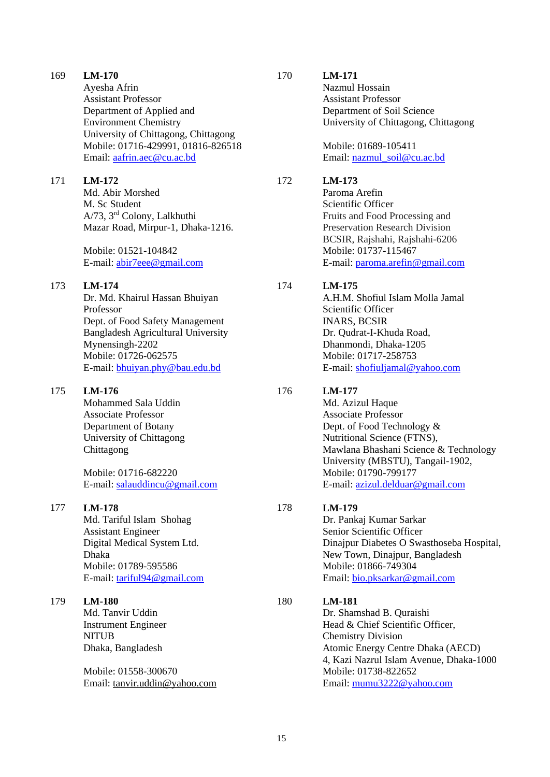Ayesha Afrin Assistant Professor Department of Applied and Environment Chemistry University of Chittagong, Chittagong Mobile: 01716-429991, 01816-826518 Email: [aafrin.aec@cu.ac.bd](mailto:aafrin.aec@cu.ac.bd)

#### 171 **LM-172**

Md. Abir Morshed M. Sc Student A/73, 3rd Colony, Lalkhuthi Mazar Road, Mirpur-1, Dhaka-1216.

Mobile: 01521-104842 E-mail: [abir7eee@gmail.com](mailto:abir7eee@gmail.com)

#### 173 **LM-174**

Dr. Md. Khairul Hassan Bhuiyan Professor Dept. of Food Safety Management Bangladesh Agricultural University Mynensingh-2202 Mobile: 01726-062575 E-mail: [bhuiyan.phy@bau.edu.bd](mailto:bhuiyan.phy@bau.edu.bd)

#### 175 **LM-176**

Mohammed Sala Uddin Associate Professor Department of Botany University of Chittagong Chittagong

Mobile: 01716-682220 E-mail: [salauddincu@gmail.com](mailto:salauddincu@gmail.com)

#### 177 **LM-178**

Md. Tariful Islam Shohag Assistant Engineer Digital Medical System Ltd. Dhaka Mobile: 01789-595586 E-mail: [tariful94@gmail.com](mailto:tariful94@gmail.com)

#### 179 **LM-180**

Md. Tanvir Uddin Instrument Engineer NITUB Dhaka, Bangladesh

Mobile: 01558-300670 Email: [tanvir.uddin@yahoo.com](mailto:tanvir.uddin@yahoo.com)

#### 170

Nazmul Hossain Assistant Professor Department of Soil Science University of Chittagong, Chittagong

Mobile: 01689-105411 Email: [nazmul\\_soil@cu.ac.bd](mailto:nazmul_soil@cu.ac.bd)

#### 172 **LM-173**

**LM-171**

Paroma Arefin Scientific Officer Fruits and Food Processing and Preservation Research Division BCSIR, Rajshahi, Rajshahi-6206 Mobile: 01737-115467 E-mail: [paroma.arefin@gmail.com](mailto:paroma.arefin@gmail.com)

#### 174 **LM-175**

A.H.M. Shofiul Islam Molla Jamal Scientific Officer INARS, BCSIR Dr. Qudrat-I-Khuda Road, Dhanmondi, Dhaka-1205 Mobile: 01717-258753 E-mail: [shofiuljamal@yahoo.com](mailto:shofiuljamal@yahoo.com)

#### 176 **LM-177**

Md. Azizul Haque Associate Professor Dept. of Food Technology & Nutritional Science (FTNS), Mawlana Bhashani Science & Technology University (MBSTU), Tangail-1902, Mobile: 01790-799177 E-mail: [azizul.delduar@gmail.com](mailto:azizul.delduar@gmail.com)

#### 178 **LM-179**

Dr. Pankaj Kumar Sarkar Senior Scientific Officer Dinajpur Diabetes O Swasthoseba Hospital, New Town, Dinajpur, Bangladesh Mobile: 01866-749304 Email: [bio.pksarkar@gmail.com](mailto:bio.pksarkar@gmail.com)

#### 180 **LM-181**

Dr. Shamshad B. Quraishi Head & Chief Scientific Officer, Chemistry Division Atomic Energy Centre Dhaka (AECD) 4, Kazi Nazrul Islam Avenue, Dhaka-1000 Mobile: 01738-822652 Email: [mumu3222@yahoo.com](mailto:mumu3222@yahoo.com)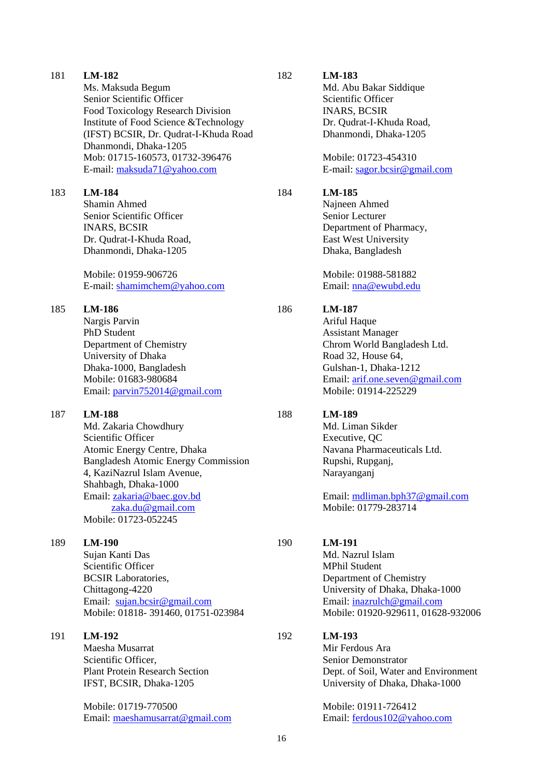|     | Senior Scientific Officer<br>Food Toxicology Research Division<br>Institute of Food Science & Technology<br>(IFST) BCSIR, Dr. Qudrat-I-Khuda Road<br>Dhanmondi, Dhaka-1205<br>Mob: 01715-160573, 01732-396476<br>E-mail: maksuda71@yahoo.com                                |     | Scientific Officer<br><b>INARS, BCSIR</b><br>Dr. Qudrat-I-Khuda Road,<br>Dhanmondi, Dhaka-1205<br>Mobile: 01723-454310<br>E-mail: sagor.bcsir@gmail.com                                            |
|-----|-----------------------------------------------------------------------------------------------------------------------------------------------------------------------------------------------------------------------------------------------------------------------------|-----|----------------------------------------------------------------------------------------------------------------------------------------------------------------------------------------------------|
| 183 | <b>LM-184</b><br>Shamin Ahmed<br>Senior Scientific Officer<br><b>INARS, BCSIR</b><br>Dr. Qudrat-I-Khuda Road,<br>Dhanmondi, Dhaka-1205<br>Mobile: 01959-906726<br>E-mail: shamimchem@yahoo.com                                                                              | 184 | LM-185<br>Najneen Ahmed<br>Senior Lecturer<br>Department of Pharmacy,<br>East West University<br>Dhaka, Bangladesh<br>Mobile: 01988-581882<br>Email: nna@ewubd.edu                                 |
| 185 | LM-186<br>Nargis Parvin<br><b>PhD Student</b><br>Department of Chemistry<br>University of Dhaka<br>Dhaka-1000, Bangladesh<br>Mobile: 01683-980684<br>Email: parvin752014@gmail.com                                                                                          | 186 | <b>LM-187</b><br>Ariful Haque<br><b>Assistant Manager</b><br>Chrom World Bangladesh Ltd.<br>Road 32, House 64,<br>Gulshan-1, Dhaka-1212<br>Email: arif.one.seven@gmail.com<br>Mobile: 01914-225229 |
| 187 | <b>LM-188</b><br>Md. Zakaria Chowdhury<br>Scientific Officer<br>Atomic Energy Centre, Dhaka<br><b>Bangladesh Atomic Energy Commission</b><br>4, KaziNazrul Islam Avenue,<br>Shahbagh, Dhaka-1000<br>Email: zakaria@baec.gov.bd<br>zaka.du@gmail.com<br>Mobile: 01723-052245 | 188 | LM-189<br>Md. Liman Sikder<br>Executive, QC<br>Navana Pharmaceuticals Ltd.<br>Rupshi, Rupganj,<br>Narayanganj<br>Email: mdliman.bph37@gmail.com<br>Mobile: 01779-283714                            |
| 189 | <b>LM-190</b><br>Sujan Kanti Das<br>Scientific Officer<br><b>BCSIR</b> Laboratories,<br>Chittagong-4220<br>Email: sujan.bcsir@gmail.com<br>Mobile: 01818-391460, 01751-023984                                                                                               | 190 | LM-191<br>Md. Nazrul Islam<br><b>MPhil Student</b><br>Department of Chemistry<br>University of Dhaka, Dhaka-1000<br>Email: inazrulch@gmail.com<br>Mobile: 01920-929611, 01628-932006               |
| 191 | LM-192<br>Maesha Musarrat<br>Scientific Officer,<br><b>Plant Protein Research Section</b><br>IFST, BCSIR, Dhaka-1205                                                                                                                                                        | 192 | LM-193<br>Mir Ferdous Ara<br>Senior Demonstrator<br>Dept. of Soil, Water and Environment<br>University of Dhaka, Dhaka-1000                                                                        |
|     | Mobile: 01719-770500                                                                                                                                                                                                                                                        |     | Mobile: 01911-726412                                                                                                                                                                               |

Email: [maeshamusarrat@gmail.com](mailto:maeshamusarrat@gmail.com)

181

**LM-182**

Ms. Maksuda Begum

Email: [ferdous102@yahoo.com](mailto:ferdous102@yahoo.com)

182

**LM-183**

Md. Abu Bakar Siddique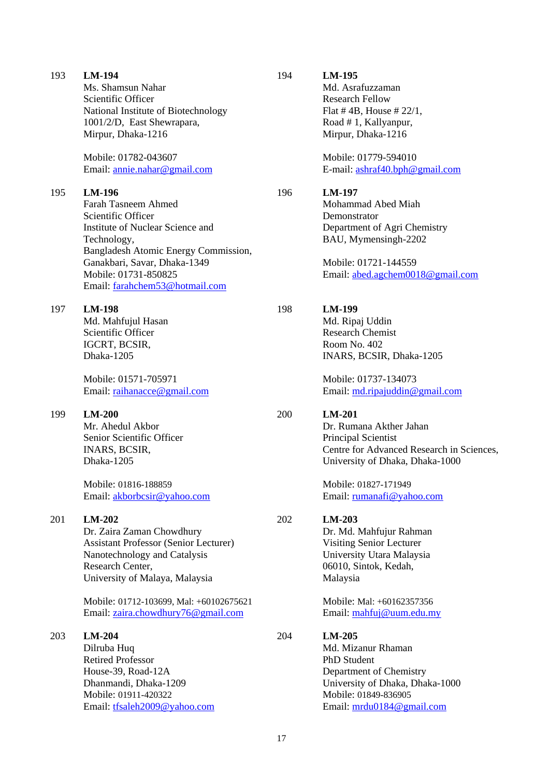| 193 | LM-194<br>Ms. Shamsun Nahar<br>Scientific Officer<br>National Institute of Biotechnology<br>1001/2/D, East Shewrapara,<br>Mirpur, Dhaka-1216<br>Mobile: 01782-043607<br>Email: annie.nahar@gmail.com                                                         | 194 | LM-195<br>Md. Asrafuzzaman<br><b>Research Fellow</b><br>Flat #4B, House # $22/1$ ,<br>Road #1, Kallyanpur,<br>Mirpur, Dhaka-1216<br>Mobile: 01779-594010<br>E-mail: ashraf40.bph@gmail.com           |
|-----|--------------------------------------------------------------------------------------------------------------------------------------------------------------------------------------------------------------------------------------------------------------|-----|------------------------------------------------------------------------------------------------------------------------------------------------------------------------------------------------------|
| 195 | LM-196<br><b>Farah Tasneem Ahmed</b><br>Scientific Officer<br>Institute of Nuclear Science and<br>Technology,<br>Bangladesh Atomic Energy Commission,<br>Ganakbari, Savar, Dhaka-1349<br>Mobile: 01731-850825<br>Email: farahchem53@hotmail.com              | 196 | LM-197<br>Mohammad Abed Miah<br>Demonstrator<br>Department of Agri Chemistry<br>BAU, Mymensingh-2202<br>Mobile: 01721-144559<br>Email: abed.agchem0018@gmail.com                                     |
| 197 | <b>LM-198</b><br>Md. Mahfujul Hasan<br>Scientific Officer<br>IGCRT, BCSIR,<br>Dhaka-1205<br>Mobile: 01571-705971<br>Email: raihanacce@gmail.com                                                                                                              | 198 | LM-199<br>Md. Ripaj Uddin<br><b>Research Chemist</b><br>Room No. 402<br>INARS, BCSIR, Dhaka-1205<br>Mobile: 01737-134073<br>Email: md.ripajuddin@gmail.com                                           |
| 199 | $LM-200$<br>Mr. Ahedul Akbor<br>Senior Scientific Officer<br>INARS, BCSIR,<br>Dhaka-1205<br>Mobile: 01816-188859<br>Email: akborbcsir@yahoo.com                                                                                                              | 200 | <b>LM-201</b><br>Dr. Rumana Akther Jahan<br>Principal Scientist<br>Centre for Advanced Research in Sciences,<br>University of Dhaka, Dhaka-1000<br>Mobile: 01827-171949<br>Email: rumanafi@yahoo.com |
| 201 | $LM-202$<br>Dr. Zaira Zaman Chowdhury<br><b>Assistant Professor (Senior Lecturer)</b><br>Nanotechnology and Catalysis<br>Research Center,<br>University of Malaya, Malaysia<br>Mobile: 01712-103699, Mal: +60102675621<br>Email: zaira.chowdhury76@gmail.com | 202 | $LM-203$<br>Dr. Md. Mahfujur Rahman<br>Visiting Senior Lecturer<br>University Utara Malaysia<br>06010, Sintok, Kedah,<br>Malaysia<br>Mobile: Mal: +60162357356<br>Email: mahfuj@uum.edu.my           |
| 203 | $LM-204$<br>Dilruba Huq<br><b>Retired Professor</b><br>House-39, Road-12A<br>Dhanmandi, Dhaka-1209<br>Mobile: 01911-420322<br>Email: tfsaleh2009@yahoo.com                                                                                                   | 204 | $LM-205$<br>Md. Mizanur Rhaman<br>PhD Student<br>Department of Chemistry<br>University of Dhaka, Dhaka-1000<br>Mobile: 01849-836905<br>Email: mrdu0184@gmail.com                                     |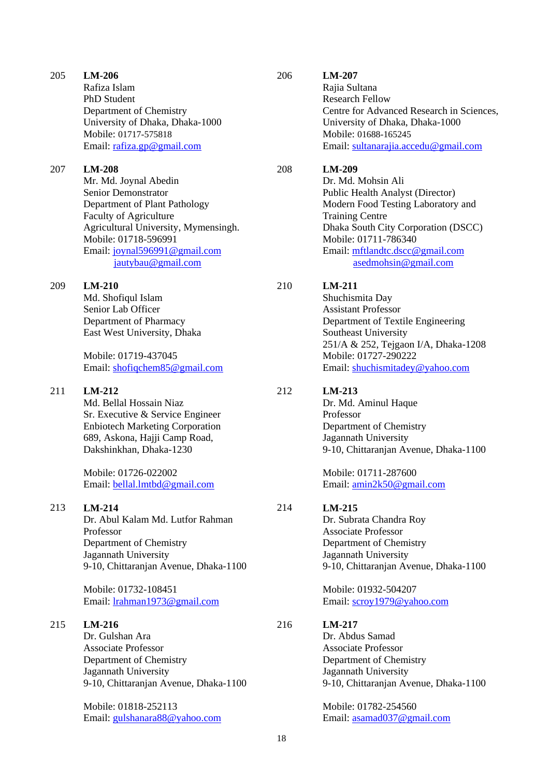Rafiza Islam PhD Student Department of Chemistry University of Dhaka, Dhaka-1000 Mobile: 01717-575818 Email: [rafiza.gp@gmail.com](mailto:rafiza.gp@gmail.com)

#### 207 **LM-208**

Mr. Md. Joynal Abedin Senior Demonstrator Department of Plant Pathology Faculty of Agriculture Agricultural University, Mymensingh. Mobile: 01718-596991 Email: [joynal596991@gmail.com](mailto:joynal596991@gmail.com) [jautybau@gmail.com](mailto:jautybau@gmail.com)

#### 209 **LM-210**

Md. Shofiqul Islam Senior Lab Officer Department of Pharmacy East West University, Dhaka

Mobile: 01719-437045 Email: [shofiqchem85@gmail.com](mailto:shofiqchem85@gmail.com)

#### 211 **LM-212**

Md. Bellal Hossain Niaz Sr. Executive & Service Engineer Enbiotech Marketing Corporation 689, Askona, Hajji Camp Road, Dakshinkhan, Dhaka-1230

Mobile: 01726-022002 Email: [bellal.lmtbd@gmail.com](mailto:bellal.lmtbd@gmail.com)

#### 213 **LM-214**

Dr. Abul Kalam Md. Lutfor Rahman Professor Department of Chemistry Jagannath University 9-10, Chittaranjan Avenue, Dhaka-1100

Mobile: 01732-108451 Email: [lrahman1973@gmail.com](mailto:lrahman1973@gmail.com)

#### 215 **LM-216**

Dr. Gulshan Ara Associate Professor Department of Chemistry Jagannath University 9-10, Chittaranjan Avenue, Dhaka-1100

Mobile: 01818-252113 Email: [gulshanara88@yahoo.com](mailto:gulshanara88@yahoo.com)

#### 206 **LM-207**

Rajia Sultana Research Fellow Centre for Advanced Research in Sciences, University of Dhaka, Dhaka-1000 Mobile: 01688-165245 Email: [sultanarajia.accedu@gmail.com](mailto:sultanarajia.accedu@gmail.com)

#### 208 **LM-209**

Dr. Md. Mohsin Ali Public Health Analyst (Director) Modern Food Testing Laboratory and Training Centre Dhaka South City Corporation (DSCC) Mobile: 01711-786340 Email: [mftlandtc.dscc@gmail.com](mailto:mftlandtc.dscc@gmail.com) [asedmohsin@gmail.com](mailto:asedmohsin@gmail.com)

#### 210 **LM-211**

Shuchismita Day Assistant Professor Department of Textile Engineering Southeast University 251/A & 252, Tejgaon I/A, Dhaka-1208 Mobile: 01727-290222 Email: [shuchismitadey@yahoo.com](mailto:shuchismitadey@yahoo.com)

#### 212 **LM-213**

Dr. Md. Aminul Haque Professor Department of Chemistry Jagannath University 9-10, Chittaranjan Avenue, Dhaka-1100

Mobile: 01711-287600 Email: [amin2k50@gmail.com](mailto:amin2k50@gmail.com)

#### 214 **LM-215**

Dr. Subrata Chandra Roy Associate Professor Department of Chemistry Jagannath University 9-10, Chittaranjan Avenue, Dhaka-1100

Mobile: 01932-504207 Email: [scroy1979@yahoo.com](mailto:scroy1979@yahoo.com)

## **LM-217**

Dr. Abdus Samad Associate Professor Department of Chemistry Jagannath University 9-10, Chittaranjan Avenue, Dhaka-1100

Mobile: 01782-254560 Email: [asamad037@gmail.com](mailto:asamad037@gmail.com)

216